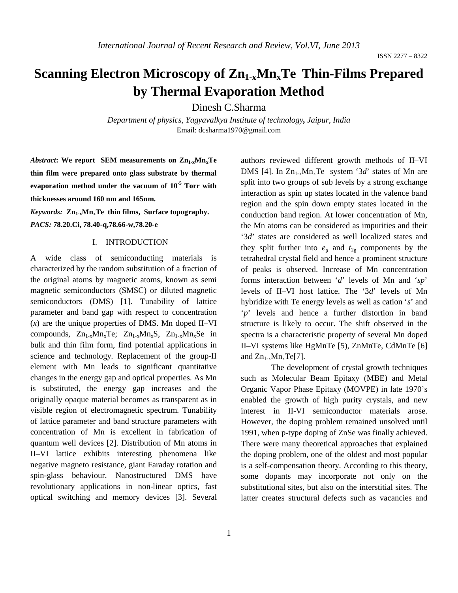# **Scanning Electron Microscopy of Zn1-xMnxTe Thin-Films Prepared by Thermal Evaporation Method**

Dinesh C.Sharma

*Department of physics, Yagyavalkya Institute of technology, Jaipur, India* Email: dcsharma1970@gmail.com

Abstract: We report SEM measurements on Zn<sub>1-x</sub>Mn<sub>x</sub>Te **thin film were prepared onto glass substrate by thermal evaporation method under the vacuum of 10-5 Torr with thicknesses around 160 nm and 165nm.** 

Keywords:  $\text{Zn}_{1-x}\text{Mn}_x\text{Te}$  thin films, Surface topography. *PACS:* **78.20.Ci, 78.40-q,78.66-w,78.20-e**

#### I. INTRODUCTION

A wide class of semiconducting materials is characterized by the random substitution of a fraction of the original atoms by magnetic atoms, known as semi magnetic semiconductors (SMSC) or diluted magnetic semiconductors (DMS) [1]. Tunability of lattice parameter and band gap with respect to concentration (*x*) are the unique properties of DMS. Mn doped II–VI compounds,  $Zn_{1-x}Mn_{x}Te$ ;  $Zn_{1-x}Mn_{x}S$ ,  $Zn_{1-x}Mn_{x}Se$  in bulk and thin film form, find potential applications in science and technology. Replacement of the group-II element with Mn leads to significant quantitative changes in the energy gap and optical properties. As Mn is substituted, the energy gap increases and the originally opaque material becomes as transparent as in visible region of electromagnetic spectrum. Tunability of lattice parameter and band structure parameters with concentration of Mn is excellent in fabrication of quantum well devices [2]. Distribution of Mn atoms in II–VI lattice exhibits interesting phenomena like negative magneto resistance, giant Faraday rotation and spin-glass behaviour. Nanostructured DMS have revolutionary applications in non-linear optics, fast optical switching and memory devices [3]. Several

1

authors reviewed different growth methods of II–VI DMS [4]. In  $Zn_{1-x}Mn_{x}Te$  system '3*d*' states of Mn are split into two groups of sub levels by a strong exchange interaction as spin up states located in the valence band region and the spin down empty states located in the conduction band region. At lower concentration of Mn, the Mn atoms can be considered as impurities and their '3*d*' states are considered as well localized states and they split further into  $e_g$  and  $t_{2g}$  components by the tetrahedral crystal field and hence a prominent structure of peaks is observed. Increase of Mn concentration forms interaction between '*d*' levels of Mn and '*sp*' levels of II–VI host lattice. The '3*d*' levels of Mn hybridize with Te energy levels as well as cation '*s*' and '*p*' levels and hence a further distortion in band structure is likely to occur. The shift observed in the spectra is a characteristic property of several Mn doped II–VI systems like HgMnTe [5), ZnMnTe, CdMnTe [6] and  $Zn_{1-x}Mn_xTe[7]$ .

The development of crystal growth techniques such as Molecular Beam Epitaxy (MBE) and Metal Organic Vapor Phase Epitaxy (MOVPE) in late 1970's enabled the growth of high purity crystals, and new interest in II-VI semiconductor materials arose. However, the doping problem remained unsolved until 1991, when p-type doping of ZnSe was finally achieved. There were many theoretical approaches that explained the doping problem, one of the oldest and most popular is a self-compensation theory. According to this theory, some dopants may incorporate not only on the substitutional sites, but also on the interstitial sites. The latter creates structural defects such as vacancies and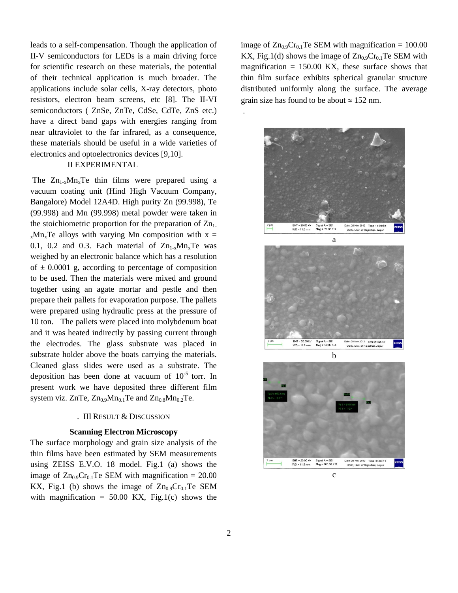leads to a self-compensation. Though the application of II-V semiconductors for LEDs is a main driving force for scientific research on these materials, the potential of their technical application is much broader. The applications include solar cells, X-ray detectors, photo resistors, electron beam screens, etc [8]. The II-VI semiconductors ( ZnSe, ZnTe, CdSe, CdTe, ZnS etc.) have a direct band gaps with energies ranging from near ultraviolet to the far infrared, as a consequence, these materials should be useful in a wide varieties of electronics and optoelectronics devices [9,10].

### II EXPERIMENTAL

The  $Zn_{1-x}Mn_{x}Te$  thin films were prepared using a vacuum coating unit (Hind High Vacuum Company, Bangalore) Model 12A4D. High purity Zn (99.998), Te (99.998) and Mn (99.998) metal powder were taken in the stoichiometric proportion for the preparation of  $Zn_1$ .  $x<sub>x</sub>Mn<sub>x</sub>$ Te alloys with varying Mn composition with x = 0.1, 0.2 and 0.3. Each material of  $Zn_{1-x}Mn_{x}Te$  was weighed by an electronic balance which has a resolution of  $\pm$  0.0001 g, according to percentage of composition to be used. Then the materials were mixed and ground together using an agate mortar and pestle and then prepare their pallets for evaporation purpose. The pallets were prepared using hydraulic press at the pressure of 10 ton. The pallets were placed into molybdenum boat and it was heated indirectly by passing current through the electrodes. The glass substrate was placed in substrate holder above the boats carrying the materials. Cleaned glass slides were used as a substrate. The deposition has been done at vacuum of  $10^{-5}$  torr. In present work we have deposited three different film system viz. ZnTe,  $Zn_{0.9}Mn_{0.1}Te$  and  $Zn_{0.8}Mn_{0.2}Te$ .

# . III RESULT & DISCUSSION

#### **Scanning Electron Microscopy**

The surface morphology and grain size analysis of the thin films have been estimated by SEM measurements using ZEISS E.V.O. 18 model. Fig.1 (a) shows the image of  $Zn_{0.9}Cr_{0.1}Te$  SEM with magnification = 20.00 KX, Fig.1 (b) shows the image of  $Zn_{0.9}Cr_{0.1}Te$  SEM with magnification =  $50.00$  KX, Fig.1(c) shows the image of  $Zn_{0.9}Cr_{0.1}Te$  SEM with magnification = 100.00 KX, Fig.1(d) shows the image of  $Zn_{0.9}Cr_{0.1}Te$  SEM with magnification  $= 150.00$  KX, these surface shows that thin film surface exhibits spherical granular structure distributed uniformly along the surface. The average grain size has found to be about  $\approx 152$  nm.

.